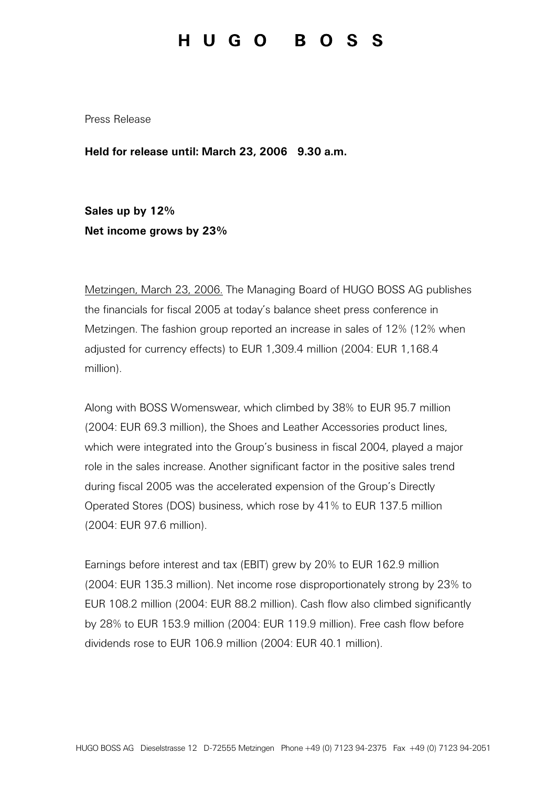## HUGO BOSS

Press Release

Held for release until: March 23, 2006 9.30 a.m.

Sales up by 12% Net income grows by 23%

Metzingen, March 23, 2006. The Managing Board of HUGO BOSS AG publishes the financials for fiscal 2005 at today's balance sheet press conference in Metzingen. The fashion group reported an increase in sales of 12% (12% when adjusted for currency effects) to EUR 1,309.4 million (2004: EUR 1,168.4 million).

Along with BOSS Womenswear, which climbed by 38% to EUR 95.7 million (2004: EUR 69.3 million), the Shoes and Leather Accessories product lines, which were integrated into the Group's business in fiscal 2004, played a major role in the sales increase. Another significant factor in the positive sales trend during fiscal 2005 was the accelerated expension of the Group's Directly Operated Stores (DOS) business, which rose by 41% to EUR 137.5 million (2004: EUR 97.6 million).

Earnings before interest and tax (EBIT) grew by 20% to EUR 162.9 million (2004: EUR 135.3 million). Net income rose disproportionately strong by 23% to EUR 108.2 million (2004: EUR 88.2 million). Cash flow also climbed significantly by 28% to EUR 153.9 million (2004: EUR 119.9 million). Free cash flow before dividends rose to EUR 106.9 million (2004: EUR 40.1 million).